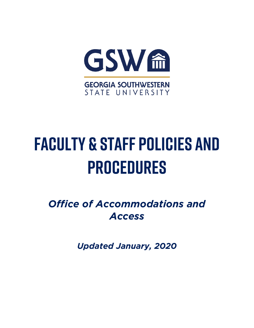

# **FACULTY & STAFF POLICIES AND PROCEDURES**

**Office of Accommodations and** Access *Access*

*Updated January, 2020*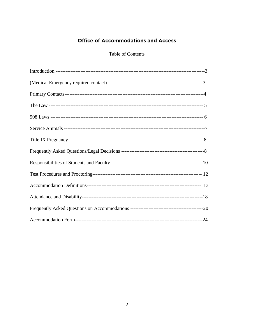## **Office of Accommodations and Access**

## Table of Contents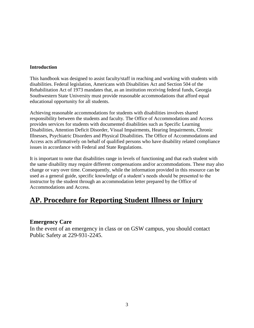#### **Introduction**

This handbook was designed to assist faculty/staff in reaching and working with students with disabilities. Federal legislation, Americans with Disabilities Act and Section 504 of the Rehabilitation Act of 1973 mandates that, as an institution receiving federal funds, Georgia Southwestern State University must provide reasonable accommodations that afford equal educational opportunity for all students.

Achieving reasonable accommodations for students with disabilities involves shared responsibility between the students and faculty. The Office of Accommodations and Access provides services for students with documented disabilities such as Specific Learning Disabilities, Attention Deficit Disorder, Visual Impairments, Hearing Impairments, Chronic Illnesses, Psychiatric Disorders and Physical Disabilities. The Office of Accommodations and Access acts affirmatively on behalf of qualified persons who have disability related compliance issues in accordance with Federal and State Regulations.

It is important to note that disabilities range in levels of functioning and that each student with the same disability may require different compensations and/or accommodations. These may also change or vary over time. Consequently, while the information provided in this resource can be used as a general guide, specific knowledge of a student's needs should be presented to the instructor by the student through an accommodation letter prepared by the Office of Accommodations and Access.

# **AP. Procedure for Reporting Student Illness or Injury**

## **Emergency Care**

In the event of an emergency in class or on GSW campus, you should contact Public Safety at 229-931-2245.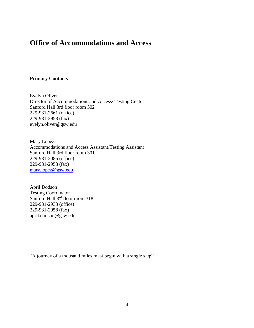# **Office of Accommodations and Access**

#### **Primary Contacts**

Evelyn Oliver Director of Accommodations and Access/ Testing Center Sanford Hall 3rd floor room 302 229-931-2661 (office) 229-931-2958 (fax) evelyn.oliver@gsw.edu

Mary Lopez Accommodations and Access Assistant/Testing Assistant Sanford Hall 3rd floor room 301 229-931-2085 (office) 229-931-2958 (fax) [mary.lopez@gsw.edu](mailto:mary.lopez@gsw.edu)

April Dodson Testing Coordinator Sanford Hall 3<sup>rd</sup> floor room 318 229-931-2933 (office) 229-931-2958 (fax) april.dodson@gsw.edu

"A journey of a thousand miles must begin with a single step"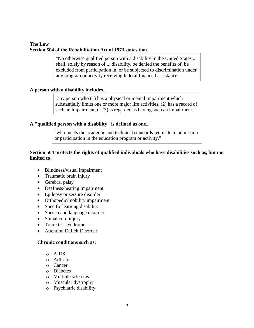## **The Law Section 504 of the Rehabilitation Act of 1973 states that...**

"No otherwise qualified person with a disability in the United States ... shall, solely by reason of ... disability, be denied the benefits of, be excluded from participation in, or be subjected to discrimination under any program or activity receiving federal financial assistance."

## **A person with a disability includes...**

"any person who (1) has a physical or mental impairment which substantially limits one or more major life activities, (2) has a record of such an impairment, or (3) is regarded as having such an impairment."

## **A "qualified person with a disability" is defined as one...**

"who meets the academic and technical standards requisite to admission or participation in the education program or activity."

## **Section 504 protects the rights of qualified individuals who have disabilities such as, but not limited to:**

- Blindness/visual impairment
- Traumatic brain injury
- Cerebral palsy
- Deafness/hearing impairment
- Epilepsy or seizure disorder
- Orthopedic/mobility impairment
- Specific learning disability
- Speech and language disorder
- Spinal cord injury
- Tourette's syndrome
- Attention Deficit Disorder

## **Chronic conditions such as:**

- o AIDS
- o Arthritis
- o Cancer
- o Diabetes
- o Multiple sclerosis
- o Muscular dystrophy
- o Psychiatric disability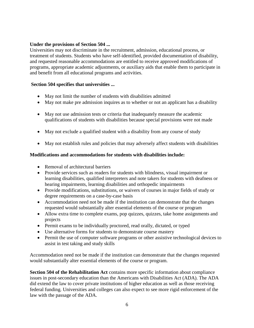## **Under the provisions of Section 504 ...**

Universities may not discriminate in the recruitment, admission, educational process, or treatment of students. Students who have self-identified, provided documentation of disability, and requested reasonable accommodations are entitled to receive approved modifications of programs, appropriate academic adjustments, or auxiliary aids that enable them to participate in and benefit from all educational programs and activities.

## **Section 504 specifies that universities ...**

- May not limit the number of students with disabilities admitted
- May not make pre admission inquires as to whether or not an applicant has a disability
- May not use admission tests or criteria that inadequately measure the academic qualifications of students with disabilities because special provisions were not made
- May not exclude a qualified student with a disability from any course of study
- May not establish rules and policies that may adversely affect students with disabilities

## **Modifications and accommodations for students with disabilities include:**

- Removal of architectural barriers
- Provide services such as readers for students with blindness, visual impairment or learning disabilities, qualified interpreters and note takers for students with deafness or hearing impairments, learning disabilities and orthopedic impairments
- Provide modifications, substitutions, or waivers of courses in major fields of study or degree requirements on a case-by-case basis
- Accommodation need not be made if the institution can demonstrate that the changes requested would substantially alter essential elements of the course or program
- Allow extra time to complete exams, pop quizzes, quizzes, take home assignments and projects
- Permit exams to be individually proctored, read orally, dictated, or typed
- Use alternative forms for students to demonstrate course mastery
- Permit the use of computer software programs or other assistive technological devices to assist in test taking and study skills

Accommodation need not be made if the institution can demonstrate that the changes requested would substantially alter essential elements of the course or program.

**Section 504 of the Rehabilitation Act** contains more specific information about compliance issues in post-secondary education than the Americans with Disabilities Act (ADA). The ADA did extend the law to cover private institutions of higher education as well as those receiving federal funding. Universities and colleges can also expect to see more rigid enforcement of the law with the passage of the ADA.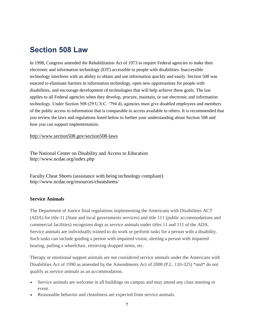# **Section 508 Law**

In 1998, Congress amended the Rehabilitation Act of 1973 to require Federal agencies to make their electronic and information technology (EIT) accessible to people with disabilities. Inaccessible technology interferes with an ability to obtain and use information quickly and easily. Section 508 was enacted to eliminate barriers in information technology, open new opportunities for people with disabilities, and encourage development of technologies that will help achieve these goals. The law applies to all Federal agencies when they develop, procure, maintain, or use electronic and information technology. Under Section 508 (29 U.S.C. '794 d), agencies must give disabled employees and members of the public access to information that is comparable to access available to others. It is recommended that you review the laws and regulations listed below to further your understanding about Section 508 and how you can support implementation.

<http://www.section508.gov/section508-laws>

The National Center on Disability and Access to Education http://www.ncdae.org/index.php

Faculty Cheat Sheets (assistance with being technology compliant) http://www.ncdae.org/resources/cheatsheets/

## **Service Animals**

The Department of Justice final regulations implementing the Americans with Disabilities ACT (ADA) for title 11 (State and local governments services) and title 111 (public accommodations and commercial facilities) recognizes dogs as service animals under titles 11 and 111 of the ADA. Service animals are individually trained to do work or perform tasks for a person with a disability. Such tasks can include guiding a person with impaired vision, alerting a person with impaired hearing, pulling a wheelchair, retrieving dropped items, etc.

Therapy or emotional support animals are not considered service animals under the Americans with Disabilities Act of 1990 as amended by the Amendments Act of 2008 (P.L. 110-325) \*and\* do not qualify as service animals as an accommodation.

- Service animals are welcome in all buildings on campus and may attend any class meeting or event.
- Reasonable behavior and cleanliness are expected from service animals.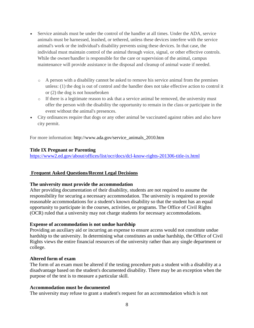- Service animals must be under the control of the handler at all times. Under the ADA, service animals must be harnessed, leashed, or tethered, unless these devices interfere with the service animal's work or the individual's disability prevents using these devices. In that case, the individual must maintain control of the animal through voice, signal, or other effective controls. While the owner/handler is responsible for the care or supervision of the animal, campus maintenance will provide assistance in the disposal and cleanup of animal waste if needed.
	- o A person with a disability cannot be asked to remove his service animal from the premises unless: (1) the dog is out of control and the handler does not take effective action to control it or (2) the dog is not housebroken
	- o If there is a legitimate reason to ask that a service animal be removed, the university must offer the person with the disability the opportunity to remain in the class or participate in the event without the animal's presences.
- City ordinances require that dogs or any other animal be vaccinated against rabies and also have city permit.

For more information: [http://www.ada.gov/service\\_animals\\_2010.htm](http://www.ada.gov/service_animals_2010.htm)

## **Title IX Pregnant or Parenting**

<https://www2.ed.gov/about/offices/list/ocr/docs/dcl-know-rights-201306-title-ix.html>

## **Frequent Asked Questions/Recent Legal Decisions**

#### **The university must provide the accommodation**

After providing documentation of their disability, students are not required to assume the responsibility for securing a necessary accommodation. The university is required to provide reasonable accommodations for a student's known disability so that the student has an equal opportunity to participate in the courses, activities, or programs. The Office of Civil Rights (OCR) ruled that a university may not charge students for necessary accommodations.

#### **Expense of accommodation is not undue hardship**

Providing an auxiliary aid or incurring an expense to ensure access would not constitute undue hardship to the university. In determining what constitutes an undue hardship, the Office of Civil Rights views the entire financial resources of the university rather than any single department or college.

#### **Altered form of exam**

The form of an exam must be altered if the testing procedure puts a student with a disability at a disadvantage based on the student's documented disability. There may be an exception when the purpose of the test is to measure a particular skill.

#### **Accommodation must be documented**

The university may refuse to grant a student's request for an accommodation which is not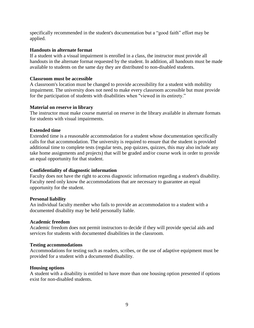specifically recommended in the student's documentation but a "good faith" effort may be applied.

#### **Handouts in alternate format**

If a student with a visual impairment is enrolled in a class, the instructor must provide all handouts in the alternate format requested by the student. In addition, all handouts must be made available to students on the same day they are distributed to non-disabled students.

## **Classroom must be accessible**

A classroom's location must be changed to provide accessibility for a student with mobility impairment. The university does not need to make every classroom accessible but must provide for the participation of students with disabilities when "viewed in its entirety."

## **Material on reserve in library**

The instructor must make course material on reserve in the library available in alternate formats for students with visual impairments.

## **Extended time**

Extended time is a reasonable accommodation for a student whose documentation specifically calls for that accommodation. The university is required to ensure that the student is provided additional time to complete tests (regular tests, pop quizzes, quizzes, this may also include any take home assignments and projects) that will be graded and/or course work in order to provide an equal opportunity for that student.

#### **Confidentiality of diagnostic information**

Faculty does not have the right to access diagnostic information regarding a student's disability. Faculty need only know the accommodations that are necessary to guarantee an equal opportunity for the student.

#### **Personal liability**

An individual faculty member who fails to provide an accommodation to a student with a documented disability may be held personally liable.

#### **Academic freedom**

Academic freedom does not permit instructors to decide if they will provide special aids and services for students with documented disabilities in the classroom.

#### **Testing accommodations**

Accommodations for testing such as readers, scribes, or the use of adaptive equipment must be provided for a student with a documented disability.

#### **Housing options**

A student with a disability is entitled to have more than one housing option presented if options exist for non-disabled students.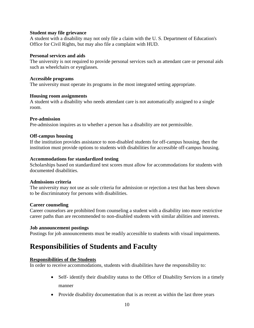#### **Student may file grievance**

A student with a disability may not only file a claim with the U. S. Department of Education's Office for Civil Rights, but may also file a complaint with HUD.

#### **Personal services and aids**

The university is not required to provide personal services such as attendant care or personal aids such as wheelchairs or eyeglasses.

#### **Accessible programs**

The university must operate its programs in the most integrated setting appropriate.

#### **Housing room assignments**

A student with a disability who needs attendant care is not automatically assigned to a single room.

## **Pre-admission**

Pre-admission inquires as to whether a person has a disability are not permissible.

## **Off-campus housing**

If the institution provides assistance to non-disabled students for off-campus housing, then the institution must provide options to students with disabilities for accessible off-campus housing.

## **Accommodations for standardized testing**

Scholarships based on standardized test scores must allow for accommodations for students with documented disabilities.

## **Admissions criteria**

The university may not use as sole criteria for admission or rejection a test that has been shown to be discriminatory for persons with disabilities.

#### **Career counseling**

Career counselors are prohibited from counseling a student with a disability into more restrictive career paths than are recommended to non-disabled students with similar abilities and interests.

#### **Job announcement postings**

Postings for job announcements must be readily accessible to students with visual impairments.

# **Responsibilities of Students and Faculty**

## **Responsibilities of the Students**

In order to receive accommodations, students with disabilities have the responsibility to:

- Self- identify their disability status to the Office of Disability Services in a timely manner
- Provide disability documentation that is as recent as within the last three years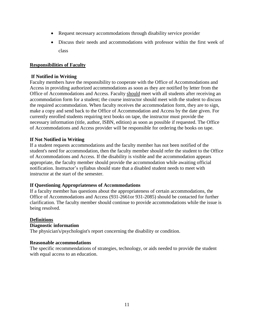- Request necessary accommodations through disability service provider
- Discuss their needs and accommodations with professor within the first week of class

## **Responsibilities of Faculty**

#### **If Notified in Writing**

Faculty members have the responsibility to cooperate with the Office of Accommodations and Access in providing authorized accommodations as soon as they are notified by letter from the Office of Accommodations and Access. Faculty should meet with all students after receiving an accommodation form for a student; the course instructor should meet with the student to discuss the required accommodation. When faculty receives the accommodation form, they are to sign, make a copy and send back to the Office of Accommodation and Access by the date given. For currently enrolled students requiring text books on tape, the instructor must provide the necessary information (title, author, ISBN, edition) as soon as possible if requested. The Office of Accommodations and Access provider will be responsible for ordering the books on tape.

## **If Not Notified in Writing**

If a student requests accommodations and the faculty member has not been notified of the student's need for accommodation, then the faculty member should refer the student to the Office of Accommodations and Access. If the disability is visible and the accommodation appears appropriate, the faculty member should provide the accommodation while awaiting official notification. Instructor's syllabus should state that a disabled student needs to meet with instructor at the start of the semester.

## **If Questioning Appropriateness of Accommodations**

If a faculty member has questions about the appropriateness of certain accommodations, the Office of Accommodations and Access (931-2661or 931-2085) should be contacted for further clarification. The faculty member should continue to provide accommodations while the issue is being resolved.

## **Definitions**

## **Diagnostic information**

The physician's/psychologist's report concerning the disability or condition.

#### **Reasonable accommodations**

The specific recommendations of strategies, technology, or aids needed to provide the student with equal access to an education.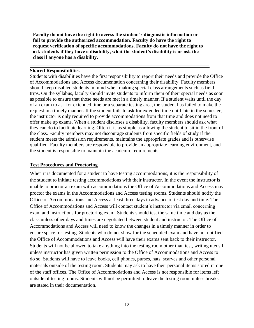**Faculty do not have the right to access the student's diagnostic information or fail to provide the authorized accommodation. Faculty do have the right to request verification of specific accommodations**. **Faculty do not have the right to ask students if they have a disability, what the student's disability is or ask the class if anyone has a disability.**

#### **Shared Responsibilities**

Students with disabilities have the first responsibility to report their needs and provide the Office of Accommodations and Access documentation concerning their disability. Faculty members should keep disabled students in mind when making special class arrangements such as field trips. On the syllabus, faculty should invite students to inform them of their special needs as soon as possible to ensure that those needs are met in a timely manner. If a student waits until the day of an exam to ask for extended time or a separate testing area, the student has failed to make the request in a timely manner. If the student fails to ask for extended time until late in the semester, the instructor is only required to provide accommodations from that time and does not need to offer make up exams. When a student discloses a disability, faculty members should ask what they can do to facilitate learning. Often it is as simple as allowing the student to sit in the front of the class. Faculty members may not discourage students from specific fields of study if the student meets the admission requirements, maintains the appropriate grades and is otherwise qualified. Faculty members are responsible to provide an appropriate learning environment, and the student is responsible to maintain the academic requirements.

#### **Test Procedures and Proctoring**

When it is documented for a student to have testing accommodations, it is the responsibility of the student to initiate testing accommodations with their instructor. In the event the instructor is unable to proctor an exam with accommodations the Office of Accommodations and Access may proctor the exams in the Accommodations and Access testing rooms. Students should notify the Office of Accommodations and Access at least three days in advance of test day and time. The Office of Accommodations and Access will contact student's instructor via email concerning exam and instructions for proctoring exam. Students should test the same time and day as the class unless other days and times are negotiated between student and instructor. The Office of Accommodations and Access will need to know the changes in a timely manner in order to ensure space for testing. Students who do not show for the scheduled exam and have not notified the Office of Accommodations and Access will have their exams sent back to their instructor. Students will not be allowed to take anything into the testing room other than test, writing utensil unless instructor has given written permission to the Office of Accommodations and Access to do so. Students will have to leave books, cell phones, purses, hats, scarves and other personal materials outside of the testing room. Students may ask to have their personal items stored in one of the staff offices. The Office of Accommodations and Access is not responsible for items left outside of testing rooms. Students will not be permitted to leave the testing room unless breaks are stated in their documentation.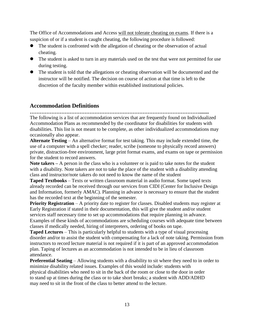The Office of Accommodations and Access will not tolerate cheating on exams. If there is a suspicion of or if a student is caught cheating, the following procedure is followed:

- ⚫ The student is confronted with the allegation of cheating or the observation of actual cheating.
- ⚫ The student is asked to turn in any materials used on the test that were not permitted for use during testing.
- The student is told that the allegations or cheating observation will be documented and the instructor will be notified. The decision on course of action at that time is left to the discretion of the faculty member within established institutional policies.

## **Accommodation Definitions**

**…………………………………………………………………………………………........** The following is a list of accommodation services that are frequently found on Individualized Accommodation Plans as recommended by the coordinator for disabilities for students with disabilities. This list is not meant to be complete, as other individualized accommodations may occasionally also appear.

**Alternate Testing** – An alternative format for test taking. This may include extended time, the use of a computer with a spell checker; reader, scribe (someone to physically record answers) private, distraction-free environment, large print format exams, and exams on tape or permission for the student to record answers.

**Note takers –** A person in the class who is a volunteer or is paid to take notes for the student with a disability. Note takers are not to take the place of the student with a disability attending class and instructor/note takers do not need to know the name of the student

**Taped Textbooks** – Texts or written classroom material in audio format. Some taped texts already recorded can be received through our services from CIDI (Center for Inclusive Design and Information, formerly AMAC). Planning in advance is necessary to ensure that the student has the recorded text at the beginning of the semester.

**Priority Registration** – A priority date to register for classes. Disabled students may register at Early Registration if stated in their documentation, this will give the student and/or student services staff necessary time to set up accommodations that require planning in advance. Examples of these kinds of accommodations are scheduling courses with adequate time between classes if medically needed, hiring of interpreters, ordering of books on tape.

**Taped Lectures** – This is particularly helpful to students with a type of visual processing disorder and/or to assist the student with compensating for a lack of note taking. Permission from instructors to record lecture material is not required if it is part of an approved accommodation plan. Taping of lectures as an accommodation is not intended to be in lieu of classroom attendance.

**Preferential Seating** – Allowing students with a disability to sit where they need to in order to minimize disability related issues. Examples of this would include: students with physical disabilities who need to sit in the back of the room or close to the door in order to stand up at times during the class or to take short breaks; a student with ADD/ADHD may need to sit in the front of the class to better attend to the lecture.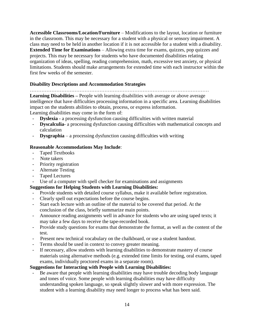**Accessible Classrooms/Location/Furniture** – Modifications to the layout, location or furniture in the classroom. This may be necessary for a student with a physical or sensory impairment. A class may need to be held in another location if it is not accessible for a student with a disability. **Extended Time for Examinations** – Allowing extra time for exams, quizzes, pop quizzes and projects. This may be necessary for students who have documented disabilities relating organization of ideas, spelling, reading comprehension, math, excessive test anxiety, or physical limitations. Students should make arrangements for extended time with each instructor within the first few weeks of the semester.

## **Disability Descriptions and Accommodation Strategies**

………………………………………………………………………………………………

**Learning Disabilities –** People with learning disabilities with average or above average intelligence that have difficulties processing information in a specific area. Learning disabilities impact on the students abilities to obtain, process, or express information.

Learning disabilities may come in the form of:

- **Dyslexia** a processing dysfunction causing difficulties with written material
- **Dyscalculia** a processing dysfunction causing difficulties with mathematical concepts and calculation
- **Dysgraphia**  a processing dysfunction causing difficulties with writing

## **Reasonable Accommodations May Include**:

- Taped Textbooks
- Note takers
- Priority registration
- Alternate Testing
- Taped Lectures<br>- Use of a communi
- Use of a computer with spell checker for examinations and assignments

## **Suggestions for Helping Students with Learning Disabilities:**

- Provide students with detailed course syllabus, make it available before registration.
- Clearly spell out expectations before the course begins.
- Start each lecture with an outline of the material to be covered that period. At the conclusion of the class, briefly summarize main points.
- Announce reading assignments well in advance for students who are using taped texts; it may take a few days to receive the tape-recorded book.
- Provide study questions for exams that demonstrate the format, as well as the content of the test.
- Present new technical vocabulary on the chalkboard, or use a student handout.
- Terms should be used in context to convey greater meaning.
- If necessary, allow students with learning disabilities to demonstrate mastery of course materials using alternative methods (e.g. extended time limits for testing, oral exams, taped exams, individually proctored exams in a separate room).

## **Suggestions for Interacting with People with Learning Disabilities:**

Be aware that people with learning disabilities may have trouble decoding body language and tones of voice. Some people with learning disabilities may have difficulty understanding spoken language, so speak slightly slower and with more expression. The student with a learning disability may need longer to process what has been said.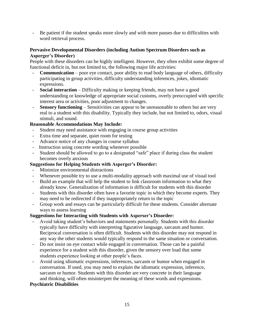- Be patient if the student speaks more slowly and with more pauses due to difficulties with word retrieval process.

## **Pervasive Developmental Disorders (including Autism Spectrum Disorders such as Asperger's Disorder)**

People with these disorders can be highly intelligent. However, they often exhibit some degree of functional deficit in, but not limited to, the following major life activities:

- **Communication**  poor eye contact, poor ability to read body language of others, difficulty participating in group activities, difficulty understanding inferences, jokes, idiomatic expressions.
- **Social interaction**  Difficulty making or keeping friends, may not have a good understanding or knowledge of appropriate social customs, overly preoccupied with specific interest area or activities, poor adjustment to changes.
- **Sensory functioning**  Sensitivities can appear to be unreasonable to others but are very real to a student with this disability. Typically they include, but not limited to, odors, visual stimuli, and sound.

## **Reasonable Accommodations May Include:**

- Student may need assistance with engaging in course group activities
- Extra time and separate, quiet room for testing
- Advance notice of any changes in course syllabus
- Instruction using concrete wording whenever possible
- Student should be allowed to go to a designated "safe" place if during class the student becomes overly anxious

## **Suggestions for Helping Students with Asperger's Disorder:**

- Minimize environmental distractions
- Whenever possible try to use a multi-modality approach with maximal use of visual tool
- Build an example that will help the student to link classroom information to what they already know. Generalization of information is difficult for students with this disorder
- Students with this disorder often have a favorite topic in which they become experts. They may need to be redirected if they inappropriately return to the topic
- Group work and essays can be particularly difficult for these students. Consider alternate ways to assess learning

## **Suggestions for Interacting with Students with Asperser's Disorder:**

- Avoid taking student's behaviors and statements personally. Students with this disorder typically have difficulty with interpreting figurative language, sarcasm and humor. Reciprocal conversation is often difficult. Students with this disorder may not respond in any way the other students would typically respond to the same situation or conversation.
- Do not insist on eye contact while engaged in conversation. Those can be a painful experience for a student with this disorder, given the sensory over load that some students experience looking at other people's faces.
- Avoid using idiomatic expressions, inferences, sarcasm or humor when engaged in conversation. If used, you may need to explain the idiomatic expression, inference, sarcasm or humor. Students with this disorder are very concrete in their language and thinking, will often misinterpret the meaning of these words and expressions.

## **Psychiatric Disabilities**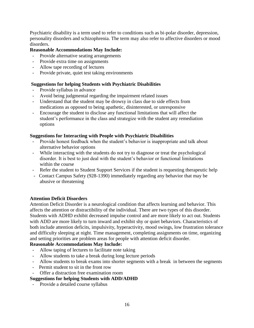Psychiatric disability is a term used to refer to conditions such as bi-polar disorder, depression, personality disorders and schizophrenia. The term may also refer to affective disorders or mood disorders.

## **Reasonable Accommodations May Include:**

- Provide alternative seating arrangements
- Provide extra time on assignments
- Allow tape recording of lectures
- Provide private, quiet test taking environments

## **Suggestions for helping Students with Psychiatric Disabilities**

- Provide syllabus in advance
- Avoid being judgmental regarding the impairment related issues
- Understand that the student may be drowsy in class due to side effects from medications as opposed to being apathetic, disinterested, or unresponsive
- Encourage the student to disclose any functional limitations that will affect the student's performance in the class and strategize with the student any remediation options

## **Suggestions for Interacting with People with Psychiatric Disabilities**

- Provide honest feedback when the student's behavior is inappropriate and talk about alternative behavior options
- While interacting with the students do not try to diagnose or treat the psychological disorder. It is best to just deal with the student's behavior or functional limitations within the course
- Refer the student to Student Support Services if the student is requesting therapeutic help
- Contact Campus Safety (928-1390) immediately regarding any behavior that may be abusive or threatening

#### **Attention Deficit Disorders**

Attention Deficit Disorder is a neurological condition that affects learning and behavior. This affects the attention or distractibility of the individual. There are two types of this disorder. Students with ADHD exhibit decreased impulse control and are more likely to act out. Students with ADD are more likely to turn inward and exhibit shy or quiet behaviors. Characteristics of both include attention deficits, impulsivity, hyperactivity, mood swings, low frustration tolerance and difficulty sleeping at night. Time management, completing assignments on time, organizing and setting priorities are problem areas for people with attention deficit disorder.

## **Reasonable Accommodations May Include:**

- Allow taping of lectures to facilitate note taking
- Allow students to take a break during long lecture periods
- Allow students to break exams into shorter segments with a break in between the segments
- Permit student to sit in the front row
- Offer a distraction free examination room

## **Suggestions for helping Students with ADD/ADHD**

- Provide a detailed course syllabus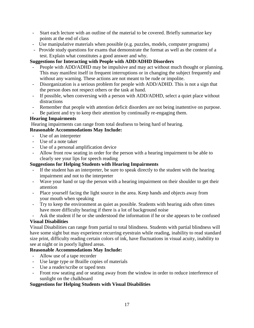- Start each lecture with an outline of the material to be covered. Briefly summarize key points at the end of class
- Use manipulative materials when possible (e.g. puzzles, models, computer programs)
- Provide study questions for exams that demonstrate the format as well as the content of a test. Explain what constitutes a good answer and why.

## **Suggestions for Interacting with People with ADD/ADHD Disorders**

- People with ADD/ADHD may be impulsive and may act without much thought or planning. This may manifest itself in frequent interruptions or in changing the subject frequently and without any warning. These actions are not meant to be rude or impolite.
- Disorganization is a serious problem for people with ADD/ADHD. This is not a sign that the person does not respect others or the task at hand.
- If possible, when conversing with a person with ADD/ADHD, select a quiet place without distractions
- Remember that people with attention deficit disorders are not being inattentive on purpose.
- Be patient and try to keep their attention by continually re-engaging them.

## **Hearing Impairments**

Hearing impairments can range from total deafness to being hard of hearing.

## **Reasonable Accommodations May Include:**

- Use of an interpreter
- Use of a note taker
- Use of a personal amplification device
- Allow front row seating in order for the person with a hearing impairment to be able to clearly see your lips for speech reading

## **Suggestions for Helping Students with Hearing Impairments**

- If the student has an interpreter, be sure to speak directly to the student with the hearing impairment and not to the interpreter
- Wave your hand or tap the person with a hearing impairment on their shoulder to get their attention
- Place yourself facing the light source in the area. Keep hands and objects away from your mouth when speaking
- Try to keep the environment as quiet as possible. Students with hearing aids often times have more difficulty hearing if there is a lot of background noise
- Ask the student if he or she understood the information if he or she appears to be confused

## **Visual Disabilities**

Visual Disabilities can range from partial to total blindness. Students with partial blindness will have some sight but may experience recurring eyestrain while reading, inability to read standard size print, difficulty reading certain colors of ink, have fluctuations in visual acuity, inability to see at night or in poorly lighted areas.

## **Reasonable Accommodations May Include:**

- Allow use of a tape recorder
- Use large type or Braille copies of materials
- Use a reader/scribe or taped tests
- Front row seating and or seating away from the window in order to reduce interference of sunlight on the chalkboard

## **Suggestions for Helping Students with Visual Disabilities**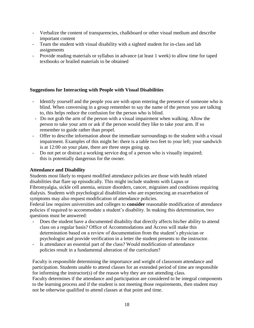- Verbalize the content of transparencies, chalkboard or other visual medium and describe important content
- Team the student with visual disability with a sighted student for in-class and lab assignments
- Provide reading materials or syllabus in advance (at least 1 week) to allow time for taped textbooks or brailed materials to be obtained

## **Suggestions for Interacting with People with Visual Disabilities**

- Identify yourself and the people you are with upon entering the presence of someone who is blind. When conversing in a group remember to say the name of the person you are talking to, this helps reduce the confusion for the person who is blind.
- Do not grab the arm of the person with a visual impairment when walking. Allow the person to take your arm or ask if the person would they like to take your arm. If so remember to guide rather than propel.
- Offer to describe information about the immediate surroundings to the student with a visual impairment. Examples of this might be: there is a table two feet to your left; your sandwich is at 12:00 on your plate, there are three steps going up.
- Do not pet or distract a working service dog of a person who is visually impaired; this is potentially dangerous for the owner.

#### **Attendance and Disability**

Students most likely to request modified attendance policies are those with health related disabilities that flare up episodically. This might include students with Lupus or Fibromyalgia, sickle cell anemia, seizure disorders, cancer, migraines and conditions requiring dialysis. Students with psychological disabilities who are experiencing an exacerbation of symptoms may also request modification of attendance policies.

Federal law requires universities and colleges to **consider** reasonable modification of attendance policies if required to accommodate a student's disability. In making this determination, two questions must be answered:

- Does the student have a documented disability that directly affects his/her ability to attend class on a regular basis? Office of Accommodations and Access will make this determination based on a review of documentation from the student's physician or psychologist and provide verification in a letter the student presents to the instructor.
- Is attendance an essential part of the class? Would modification of attendance policies result in a fundamental alteration of the curriculum?

Faculty is responsible determining the importance and weight of classroom attendance and participation. Students unable to attend classes for an extended period of time are responsible for informing the instructor(s) of the reason why they are not attending class. Faculty determines if the attendance and participation are considered to be integral components to the learning process and if the student is not meeting those requirements, then student may not be otherwise qualified to attend classes at that point and time.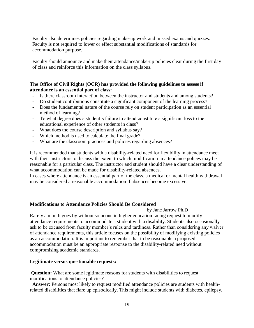Faculty also determines policies regarding make-up work and missed exams and quizzes. Faculty is not required to lower or effect substantial modifications of standards for accommodation purpose.

Faculty should announce and make their attendance/make-up policies clear during the first day of class and reinforce this information on the class syllabus.

## **The Office of Civil Rights (OCR) has provided the following guidelines to assess if attendance is an essential part of class:**

- Is there classroom interaction between the instructor and students and among students?
- Do student contributions constitute a significant component of the learning process?
- Does the fundamental nature of the course rely on student participation as an essential method of learning?
- To what degree does a student's failure to attend constitute a significant loss to the educational experience of other students in class?
- What does the course description and syllabus say?
- Which method is used to calculate the final grade?
- What are the classroom practices and policies regarding absences?

It is recommended that students with a disability-related need for flexibility in attendance meet with their instructors to discuss the extent to which modification in attendance polices may be reasonable for a particular class. The instructor and student should have a clear understanding of what accommodation can be made for disability-related absences.

In cases where attendance is an essential part of the class, a medical or mental health withdrawal may be considered a reasonable accommodation if absences become excessive.

#### **Modifications to Attendance Policies Should Be Considered**

by Jane Jarrow Ph.D

Rarely a month goes by without someone in higher education facing request to modify attendance requirements to accommodate a student with a disability. Students also occasionally ask to be excused from faculty member's rules and tardiness. Rather than considering any waiver of attendance requirements, this article focuses on the possibility of modifying existing policies as an accommodation. It is important to remember that to be reasonable a proposed accommodation must be an appropriate response to the disability-related need without compromising academic standards.

#### **Legitimate versus questionable requests:**

**Question:** What are some legitimate reasons for students with disabilities to request modifications to attendance policies?

 **Answer:** Persons most likely to request modified attendance policies are students with healthrelated disabilities that flare up episodically. This might include students with diabetes, epilepsy,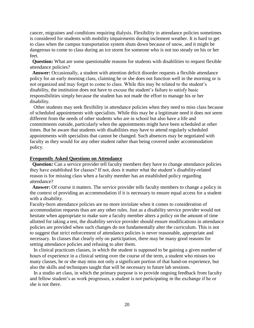cancer, migraines and conditions requiring dialysis. Flexibility in attendance policies sometimes is considered for students with mobility impairments during inclement weather. It is hard to get to class when the campus transportation system shuts down because of snow, and it might be dangerous to come to class during an ice storm for someone who is not too steady on his or her feet.

 **Question:** What are some questionable reasons for students with disabilities to request flexible attendance policies?

 **Answer:** Occasionally, a student with attention deficit disorder requests a flexible attendance policy for an early morning class, claiming he or she does not function well in the morning or is not organized and may forget to come to class. While this may be related to the student's disability, the institution does not have to excuse the student's failure to satisfy basic responsibilities simply because the student has not made the effort to manage his or her disability.

 Other students may seek flexibility in attendance policies when they need to miss class because of scheduled appointments with specialists. While this may be a legitimate need it does not seem different from the needs of other students who are in school but also have a life and commitments outside, particularly when the appointments might have been scheduled at other times. But be aware that students with disabilities may have to attend regularly scheduled appointments with specialists that cannot be changed. Such absences may be negotiated with faculty as they would for any other student rather than being covered under accommodation policy.

#### **Frequently Asked Questions on Attendance**

**Question:** Can a service provider tell faculty members they have to change attendance policies they have established for classes? If not, does it matter what the student's disability-related reason is for missing class when a faculty member has an established policy regarding attendance?

 **Answer:** Of course it matters. The service provider tells faculty members to change a policy in the context of providing an accommodation if it is necessary to ensure equal access for a student with a disability.

Faculty-born attendance policies are no more inviolate when it comes to consideration of accommodation requests than are any other rules. Just as a disability service provider would not hesitate when appropriate to make sure a faculty member alters a policy on the amount of time allotted for taking a test, the disability service provider should ensure modifications in attendance policies are provided when such changes do not fundamentally alter the curriculum. This is not to suggest that strict enforcement of attendance policies is never reasonable, appropriate and necessary. In classes that clearly rely on participation, there may be many good reasons for setting attendance policies and refusing to alter them.

 In clinical practicum classes, in which the student is supposed to be gaining a given number of hours of experience in a clinical setting over the course of the term, a student who misses too many classes, he or she may miss not only a significant portion of that hand-on experience, but also the skills and techniques taught that will be necessary in future lab sessions.

 In a studio art class, in which the primary purpose is to provide ongoing feedback from faculty and fellow student's as work progresses, a student is not participating in the exchange if he or she is not there.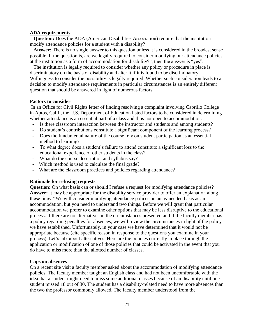#### **ADA requirements**

 **Question:** Does the ADA (American Disabilities Association) require that the institution modify attendance policies for a student with a disability?

 **Answer:** There is no single answer to this question unless it is considered in the broadest sense possible. If the question is, are we legally required to consider modifying our attendance policies at the institution as a form of accommodation for disability?", then the answer is "yes".

 The institution is legally required to consider whether any policy or procedure in place is discriminatory on the basis of disability and alter it if it is found to be discriminatory. Willingness to consider the possibility is legally required. Whether such consideration leads to a decision to modify attendance requirements in particular circumstances is an entirely different question that should be answered in light of numerous factors.

#### **Factors to consider**

In an Office for Civil Rights letter of finding resolving a complaint involving Cabrillo College in Aptos, Calif., the U.S. Department of Education listed factors to be considered in determining whether attendance is an essential part of a class and thus not open to accommodation:

- Is there classroom interaction between the instructor and students and among students?
- Do student's contributions constitute a significant component of the learning process?
- Does the fundamental nature of the course rely on student participation as an essential method to learning?
- To what degree does a student's failure to attend constitute a significant loss to the educational experience of other students in the class?
- What do the course description and syllabus say?
- Which method is used to calculate the final grade?
- What are the classroom practices and policies regarding attendance?

#### **Rationale for refusing requests**

**Question:** On what basis can or should I refuse a request for modifying attendance policies? **Answer:** It may be appropriate for the disability service provider to offer an explanation along these lines: "We will consider modifying attendance polices on an as-needed basis as an accommodation, but you need to understand two things. Before we will grant that particular accommodation we prefer to examine other options that may be less disruptive to the educational process. If there are no alternatives in the circumstances presented and if the faculty member has a policy regarding penalties for absences, we will review the circumstances in light of the policy we have established. Unfortunately, in your case we have determined that it would not be appropriate because (cite specific reason in response to the questions you examine in your process). Let's talk about alternatives. Here are the policies currently in place through the application or modification of one of those policies that could be activated in the event that you do have to miss more than the allotted number of classes.

#### **Caps on absences**

On a recent site visit a faculty member asked about the accommodation of modifying attendance policies. The faculty member taught an English class and had not been uncomfortable with the idea that a student might need to miss some additional classes because of an disability until one student missed 18 out of 30. The student has a disability-related need to have more absences than the two the professor commonly allowed. The faculty member understood from the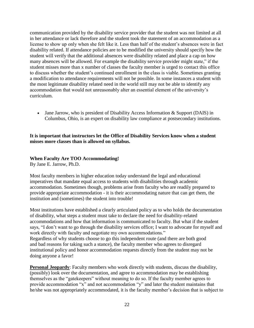communication provided by the disability service provider that the student was not limited at all in her attendance or lack therefore and the student took the statement of an accommodation as a license to show up only when she felt like it. Less than half of the student's absences were in fact disability related. If attendance policies are to be modified the university should specify how the student will verify that the additional absences were disability related and place a cap on how many absences will be allowed. For example the disability service provider might state," if the student misses more than x number of classes the faculty member is urged to contact this office to discuss whether the student's continued enrollment in the class is viable. Sometimes granting a modification to attendance requirements will not be possible. In some instances a student with the most legitimate disability related need in the world still may not be able to identify any accommodation that would not unreasonably alter an essential element of the university's curriculum.

• Jane Jarrow, who is president of Disability Access Information & Support (DAIS) in Columbus, Ohio, is an expert on disability law compliance at postsecondary institutions.

## **It is important that instructors let the Office of Disability Services know when a student misses more classes than is allowed on syllabus.**

## **When Faculty Are TOO Accommodating!**

By Jane E. Jarrow, Ph.D.

Most faculty members in higher education today understand the legal and educational imperatives that mandate equal access to students with disabilities through academic accommodation. Sometimes though, problems arise from faculty who are readily prepared to provide appropriate accommodation - it is their accommodating nature that can get them, the institution and (sometimes) the student into trouble!

Most institutions have established a clearly articulated policy as to who holds the documentation of disability, what steps a student must take to declare the need for disability-related accommodations and how that information is communicated to faculty. But what if the student says, "I don't want to go through the disability services office; I want to advocate for myself and work directly with faculty and negotiate my own accommodations." Regardless of why students choose to go this independent route (and there are both good and bad reasons for taking such a stance), the faculty member who agrees to disregard institutional policy and honor accommodation requests directly from the student may not be doing anyone a favor!

**Personal Jeopardy**: Faculty members who work directly with students, discuss the disability, (possibly) look over the documentation, and agree to accommodation may be establishing themselves as the "gatekeepers" without meaning to do so. If the faculty member agrees to provide accommodation "x" and not accommodation "y" and later the student maintains that he/she was not appropriately accommodated, it is the faculty member's decision that is subject to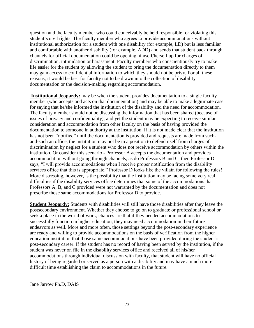question and the faculty member who could conceivably be held responsible for violating this student's civil rights. The faculty member who agrees to provide accommodations without institutional authorization for a student with one disability (for example, LD) but is less familiar and comfortable with another disability (for example, ADD) and sends that student back through channels for official documentation could be opening himself/herself up for charges of discrimination, intimidation or harassment. Faculty members who conscientiously try to make life easier for the student by allowing the student to bring the documentation directly to them may gain access to confidential information to which they should not be privy. For all these reasons, it would be best for faculty not to be drawn into the collection of disability documentation or the decision-making regarding accommodation.

**Institutional Jeopardy:** may be when the student provides documentation to a single faculty member (who accepts and acts on that documentation) and may be able to make a legitimate case for saying that he/she informed the institution of the disability and the need for accommodation. The faculty member should not be discussing the information that has been shared (because of issues of privacy and confidentiality), and yet the student may be expecting to receive similar consideration and accommodation from other faculty on the basis of having provided the documentation to someone in authority at the institution. If it is not made clear that the institution has not been "notified" until the documentation is provided and requests are made from suchand-such an office, the institution may not be in a position to defend itself from charges of discrimination by neglect for a student who does not receive accommodation by others within the institution. Or consider this scenario - Professor A accepts the documentation and provides accommodation without going through channels, as do Professors B and C, then Professor D says, "I will provide accommodations when I receive proper notification from the disability services office that this is appropriate." Professor D looks like the villain for following the rules! More distressing, however, is the possibility that the institution may be facing some very real difficulties if the disability services office determines that some of the accommodations that Professors A, B, and C provided were not warranted by the documentation and does not prescribe those same accommodations for Professor D to provide.

**Student Jeopardy:** Students with disabilities will still have those disabilities after they leave the postsecondary environment. Whether they choose to go on to graduate or professional school or seek a place in the world of work, chances are that if they needed accommodations to successfully function in higher education, they may need accommodation in their future endeavors as well. More and more often, those settings beyond the post-secondary experience are ready and willing to provide accommodations on the basis of verification from the higher education institution that those same accommodations have been provided during the student's post-secondary career. If the student has no record of having been served by the institution, if the student was never on file in the disability services office and received all of his/her accommodations through individual discussion with faculty, that student will have no official history of being regarded or served as a person with a disability and may have a much more difficult time establishing the claim to accommodations in the future.

Jane Jarrow Ph.D, DAIS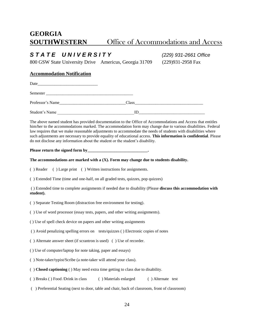# **GEORGIA SOUTHWESTERN** Office of Accommodations and Access

## *S T A T E U N I V E R S I T Y (229) 931-2661 Office*

800 GSW State University Drive Americus, Georgia 31709 (229)931-2958 Fax

#### **Accommodation Notification**

Date\_\_\_\_\_\_\_\_\_\_\_\_\_\_\_\_\_\_\_\_\_\_\_\_\_\_\_\_\_

Semester \_\_\_\_\_\_\_\_\_\_\_\_\_\_\_\_\_\_\_\_\_\_\_\_\_\_\_\_\_\_\_\_\_\_\_\_\_\_\_\_\_\_

Professor's Name **Class** 

Student's Name  $\Box$ 

The above named student has provided documentation to the Office of Accommodations and Access that entitles him/her to the accommodations marked. The accommodation form may change due to various disabilities. Federal law requires that we make reasonable adjustments to accommodate the needs of students with disabilities where such adjustments are necessary to provide equality of educational access. **This information is confidential**. Please do not disclose any information about the student or the student's disability.

**Please return the signed form by\_\_\_\_\_\_\_\_\_\_\_\_\_\_\_\_\_\_\_\_\_\_\_\_\_\_\_\_\_.**

**The accommodations are marked with a (X). Form may change due to students disability.**

( ) Reader ( ) Large print ( ) Written instructions for assignments.

( ) Extended Time (time and one-half, on all graded tests, quizzes, pop quizzes)

( ) Extended time to complete assignments if needed due to disability (Please **discuss this accommodation with student).**

( ) Separate Testing Room (distraction free environment for testing).

( ) Use of word processor (essay tests, papers, and other writing assignments).

( ) Use of spell check device on papers and other writing assignments

( ) Avoid penalizing spelling errors on tests/quizzes ( ) Electronic copies of notes

( ) Alternate answer sheet (if scrantron is used) ( ) Use of recorder.

( ) Use of computer/laptop for note taking, paper and essays)

( ) Note-taker/typist/Scribe (a note-taker will attend your class).

( ) **Closed captioning** ( ) May need extra time getting to class due to disability.

( ) Breaks ( ) Food /Drink in class ( ) Materials enlarged ( ) Alternate test

( ) Preferential Seating (next to door, table and chair, back of classroom, front of classroom)